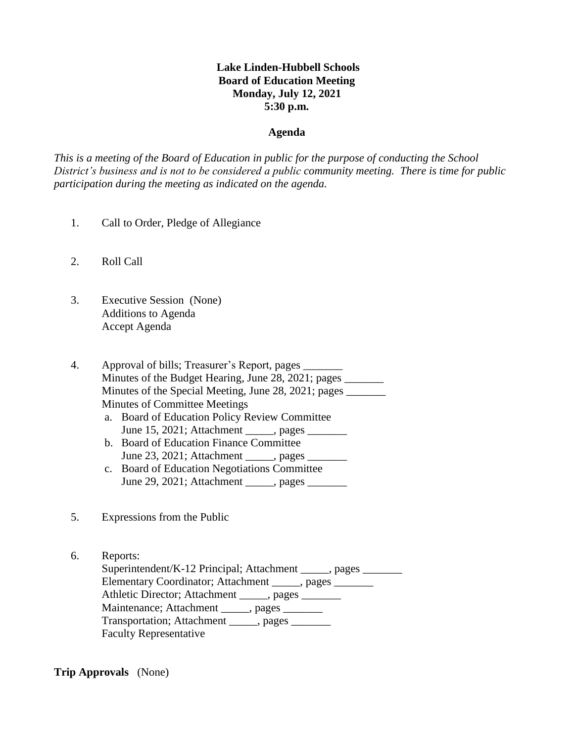# **Lake Linden-Hubbell Schools Board of Education Meeting Monday, July 12, 2021 5:30 p.m.**

#### **Agenda**

*This is a meeting of the Board of Education in public for the purpose of conducting the School District's business and is not to be considered a public community meeting. There is time for public participation during the meeting as indicated on the agenda.*

- 1. Call to Order, Pledge of Allegiance
- 2. Roll Call
- 3. Executive Session (None) Additions to Agenda Accept Agenda

4. Approval of bills; Treasurer's Report, pages \_\_\_\_\_\_\_ Minutes of the Budget Hearing, June 28, 2021; pages Minutes of the Special Meeting, June 28, 2021; pages \_\_\_\_\_\_\_\_ Minutes of Committee Meetings

- a. Board of Education Policy Review Committee June 15, 2021; Attachment , pages
- b. Board of Education Finance Committee June 23, 2021; Attachment \_\_\_\_\_, pages \_\_\_\_\_\_\_
- c. Board of Education Negotiations Committee June 29, 2021; Attachment , pages
- 5. Expressions from the Public

6. Reports: Superintendent/K-12 Principal; Attachment \_\_\_\_\_, pages \_\_\_\_\_\_\_ Elementary Coordinator; Attachment \_\_\_\_\_, pages \_\_\_\_\_\_\_ Athletic Director; Attachment \_\_\_\_\_, pages Maintenance; Attachment \_\_\_\_\_, pages \_\_\_\_\_\_ Transportation; Attachment \_\_\_\_\_, pages \_\_\_\_\_\_\_ Faculty Representative

**Trip Approvals** (None)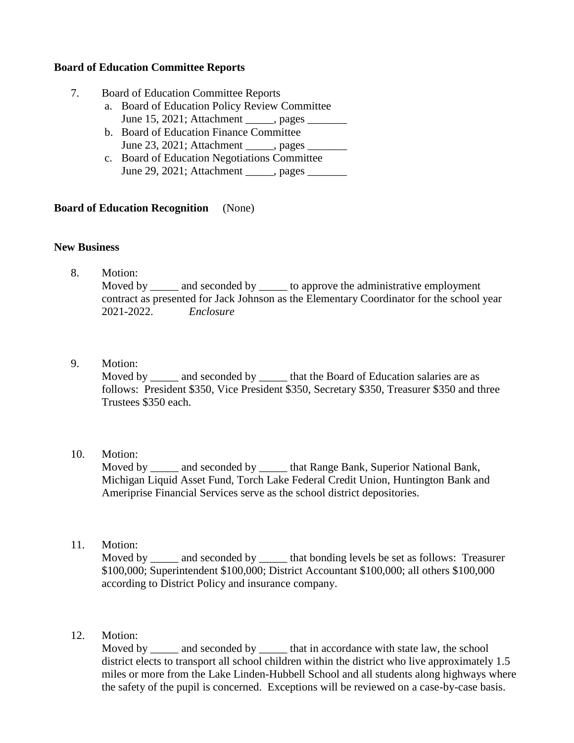## **Board of Education Committee Reports**

- 7. Board of Education Committee Reports
	- a. Board of Education Policy Review Committee June 15, 2021; Attachment \_\_\_\_\_, pages \_\_\_\_\_\_\_
	- b. Board of Education Finance Committee June 23, 2021; Attachment \_\_\_\_, pages \_\_\_\_\_\_\_
	- c. Board of Education Negotiations Committee June 29, 2021; Attachment , pages

## **Board of Education Recognition** (None)

## **New Business**

- 8. Motion: Moved by \_\_\_\_\_\_ and seconded by \_\_\_\_\_\_ to approve the administrative employment contract as presented for Jack Johnson as the Elementary Coordinator for the school year 2021-2022. *Enclosure*
- 9. Motion:

Moved by \_\_\_\_\_\_ and seconded by \_\_\_\_\_\_ that the Board of Education salaries are as follows: President \$350, Vice President \$350, Secretary \$350, Treasurer \$350 and three Trustees \$350 each.

10. Motion:

Moved by and seconded by that Range Bank, Superior National Bank, Michigan Liquid Asset Fund, Torch Lake Federal Credit Union, Huntington Bank and Ameriprise Financial Services serve as the school district depositories.

11. Motion:

Moved by and seconded by that bonding levels be set as follows: Treasurer \$100,000; Superintendent \$100,000; District Accountant \$100,000; all others \$100,000 according to District Policy and insurance company.

12. Motion:

Moved by \_\_\_\_\_ and seconded by \_\_\_\_\_\_ that in accordance with state law, the school district elects to transport all school children within the district who live approximately 1.5 miles or more from the Lake Linden-Hubbell School and all students along highways where the safety of the pupil is concerned. Exceptions will be reviewed on a case-by-case basis.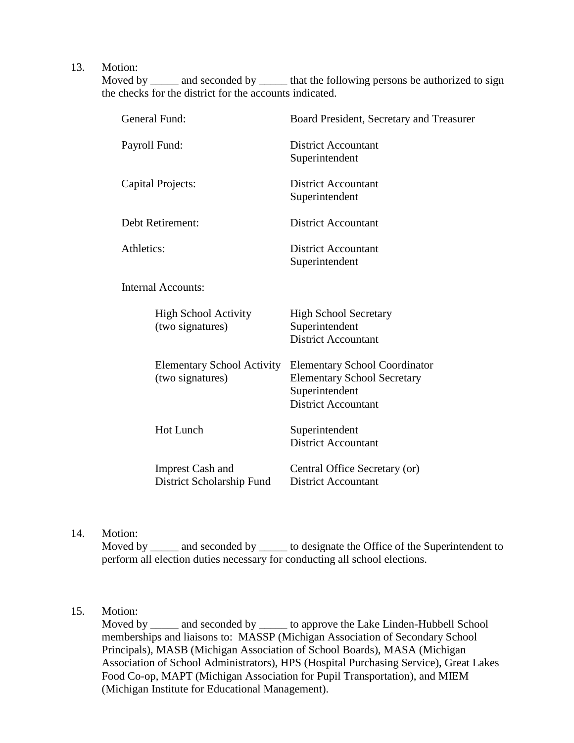13. Motion:

Moved by \_\_\_\_\_ and seconded by \_\_\_\_\_\_ that the following persons be authorized to sign the checks for the district for the accounts indicated.

| General Fund:                                         | Board President, Secretary and Treasurer                                                                                   |  |
|-------------------------------------------------------|----------------------------------------------------------------------------------------------------------------------------|--|
| Payroll Fund:                                         | <b>District Accountant</b><br>Superintendent                                                                               |  |
| Capital Projects:                                     | <b>District Accountant</b><br>Superintendent                                                                               |  |
| Debt Retirement:                                      | <b>District Accountant</b>                                                                                                 |  |
| Athletics:                                            | <b>District Accountant</b><br>Superintendent                                                                               |  |
| <b>Internal Accounts:</b>                             |                                                                                                                            |  |
| <b>High School Activity</b><br>(two signatures)       | <b>High School Secretary</b><br>Superintendent<br><b>District Accountant</b>                                               |  |
| <b>Elementary School Activity</b><br>(two signatures) | <b>Elementary School Coordinator</b><br><b>Elementary School Secretary</b><br>Superintendent<br><b>District Accountant</b> |  |
| <b>Hot Lunch</b>                                      | Superintendent<br><b>District Accountant</b>                                                                               |  |
| <b>Imprest Cash and</b><br>District Scholarship Fund  | Central Office Secretary (or)<br><b>District Accountant</b>                                                                |  |

14. Motion:

Moved by \_\_\_\_\_ and seconded by \_\_\_\_\_\_ to designate the Office of the Superintendent to perform all election duties necessary for conducting all school elections.

# 15. Motion:

Moved by \_\_\_\_\_ and seconded by \_\_\_\_\_ to approve the Lake Linden-Hubbell School memberships and liaisons to: MASSP (Michigan Association of Secondary School Principals), MASB (Michigan Association of School Boards), MASA (Michigan Association of School Administrators), HPS (Hospital Purchasing Service), Great Lakes Food Co-op, MAPT (Michigan Association for Pupil Transportation), and MIEM (Michigan Institute for Educational Management).